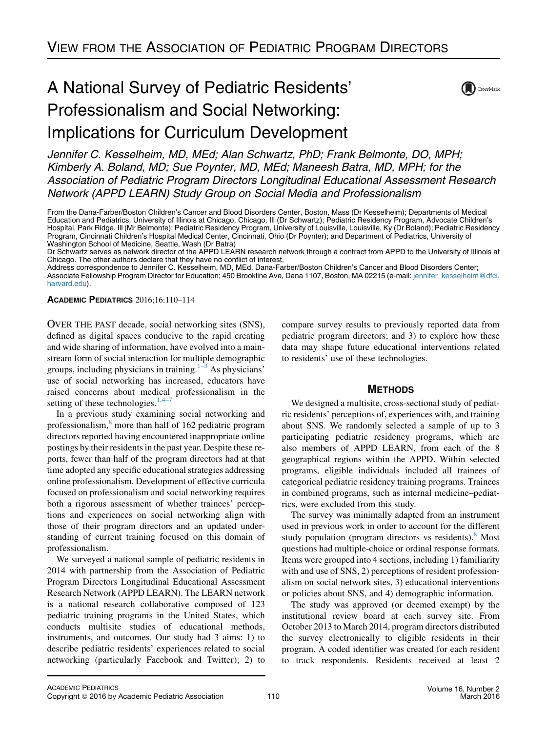# A National Survey of Pediatric Residents' Professionalism and Social Networking: Implications for Curriculum Development



Jennifer C. Kesselheim, MD, MEd; Alan Schwartz, PhD; Frank Belmonte, DO, MPH; Kimberly A. Boland, MD; Sue Poynter, MD, MEd; Maneesh Batra, MD, MPH; for the Association of Pediatric Program Directors Longitudinal Educational Assessment Research Network (APPD LEARN) Study Group on Social Media and Professionalism

From the Dana-Farber/Boston Children's Cancer and Blood Disorders Center, Boston, Mass (Dr Kesselheim); Departments of Medical Education and Pediatrics, University of Illinois at Chicago, Chicago, Ill (Dr Schwartz); Pediatric Residency Program, Advocate Children's Hospital, Park Ridge, Ill (Mr Belmonte); Pediatric Residency Program, University of Louisville, Louisville, Ky (Dr Boland); Pediatric Residency Program, Cincinnati Children's Hospital Medical Center, Cincinnati, Ohio (Dr Poynter); and Department of Pediatrics, University of Washington School of Medicine, Seattle, Wash (Dr Batra)

Dr Schwartz serves as network director of the APPD LEARN research network through a contract from APPD to the University of Illinois at Chicago. The other authors declare that they have no conflict of interest.

Address correspondence to Jennifer C. Kesselheim, MD, MEd, Dana-Farber/Boston Children's Cancer and Blood Disorders Center;

Associate Fellowship Program Director for Education; 450 Brookline Ave, Dana 1107, Boston, MA 02215 (e-mail: [jennifer\\_kesselheim@dfci.](mailto:jennifer_kesselheim@dfci.harvard.edu) [harvard.edu\)](mailto:jennifer_kesselheim@dfci.harvard.edu).

ACADEMIC PEDIATRICS 2016;16:110–114

OVER THE PAST decade, social networking sites (SNS), defined as digital spaces conducive to the rapid creating and wide sharing of information, have evolved into a mainstream form of social interaction for multiple demographic groups, including physicians in training. $1-3$  As physicians' use of social networking has increased, educators have raised concerns about medical professionalism in the setting of these technologies. $1,4-7$ 

In a previous study examining social networking and professionalism,<sup>[8](#page-4-0)</sup> more than half of 162 pediatric program directors reported having encountered inappropriate online postings by their residents in the past year. Despite these reports, fewer than half of the program directors had at that time adopted any specific educational strategies addressing online professionalism. Development of effective curricula focused on professionalism and social networking requires both a rigorous assessment of whether trainees' perceptions and experiences on social networking align with those of their program directors and an updated understanding of current training focused on this domain of professionalism.

We surveyed a national sample of pediatric residents in 2014 with partnership from the Association of Pediatric Program Directors Longitudinal Educational Assessment Research Network (APPD LEARN). The LEARN network is a national research collaborative composed of 123 pediatric training programs in the United States, which conducts multisite studies of educational methods, instruments, and outcomes. Our study had 3 aims: 1) to describe pediatric residents' experiences related to social networking (particularly Facebook and Twitter); 2) to compare survey results to previously reported data from pediatric program directors; and 3) to explore how these data may shape future educational interventions related to residents' use of these technologies.

# **METHODS**

We designed a multisite, cross-sectional study of pediatric residents' perceptions of, experiences with, and training about SNS. We randomly selected a sample of up to 3 participating pediatric residency programs, which are also members of APPD LEARN, from each of the 8 geographical regions within the APPD. Within selected programs, eligible individuals included all trainees of categorical pediatric residency training programs. Trainees in combined programs, such as internal medicine–pediatrics, were excluded from this study.

The survey was minimally adapted from an instrument used in previous work in order to account for the different study population (program directors vs residents). $8$  Most questions had multiple-choice or ordinal response formats. Items were grouped into 4 sections, including 1) familiarity with and use of SNS, 2) perceptions of resident professionalism on social network sites, 3) educational interventions or policies about SNS, and 4) demographic information.

The study was approved (or deemed exempt) by the institutional review board at each survey site. From October 2013 to March 2014, program directors distributed the survey electronically to eligible residents in their program. A coded identifier was created for each resident to track respondents. Residents received at least 2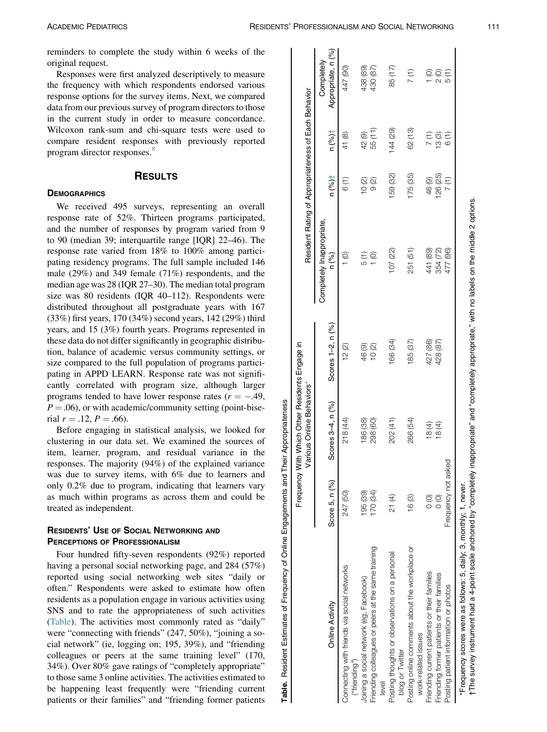<span id="page-1-0"></span>reminders to complete the study within 6 weeks of the original request.

Responses were first analyzed descriptively to measure the frequency with which respondents endorsed various response options for the survey items. Next, we compared data from our previous survey of program directors to those in the current study in order to measure concordance. Wilcoxon rank-sum and chi-square tests were used to compare resident responses with previously reported program director responses.<sup>[8](#page-4-0)</sup>

## **RESULTS** RESULTS

### **DEMOGRAPHICS**

We received 495 surveys, representing an overall response rate of 52%. Thirteen programs participated, and the number of responses by program varied from 9 to 90 (median 39; interquartile range [IQR] 22–46). The response rate varied from 18% to 100% among participating residency programs. The full sample included 146 male (29%) and 349 female (71%) respondents, and the median age was 28 (IQR 27–30). The median total program size was 80 residents (IQR 40–112). Respondents were distributed throughout all postgraduate years with 167 (33%) first years, 170 (34%) second years, 142 (29%) third years, and 15 (3%) fourth years. Programs represented in these data do not differ significantly in geographic distribution, balance of academic versus community settings, or size compared to the full population of programs participating in APPD LEARN. Response rate was not significantly correlated with program size, although larger programs tended to have lower response rates  $(r = -.49, ...)$  $P = .06$ ), or with academic/community setting (point-biserial  $r = .12, P = .66$ ).

Before engaging in statistical analysis, we looked for clustering in our data set. We examined the sources of item, learner, program, and residual variance in the responses. The majority (94%) of the explained variance was due to survey items, with 6% due to learners and only 0.2% due to program, indicating that learners vary as much within programs as across them and could be treated as independent.

# RESIDENTS' USE OF SOCIAL NETWORKING AND<br>PERCEPTIONS OF PROFESSIONALISM

Four hundred fifty-seven respondents (92%) reported having a personal social networking page, and 284 (57%) reported using social networking web sites "daily or often." Respondents were asked to estimate how often residents as a population engage in various activities using SNS and to rate the appropriateness of such activities (Table). The activities most commonly rated as "daily" were "connecting with friends" (247, 50%), "joining a social network" (ie, logging on; 195, 39%), and "friending colleagues or peers at the same training level" (170, 34%). Over 80% gave ratings of "completely appropriate" to those same 3 online activities. The activities estimated to be happening least frequently were "friending current patients or their families" and "friending former patients

|                                                                       | $\bar{z}$           | Frequency With Which Other Residents Engage in<br>rious Online Behaviors* |                   | Resident Rating of Appropriateness of Each Behavior |                |          |                                  |
|-----------------------------------------------------------------------|---------------------|---------------------------------------------------------------------------|-------------------|-----------------------------------------------------|----------------|----------|----------------------------------|
| Online Activity                                                       | Score 5, n (%)      | Scores 3-4, n (%)                                                         | Scores 1-2, n (%) | Completely Inappropriate.<br>n (%)                  | n (% )         | n (%)†   | Appropriate, n (%)<br>Completely |
|                                                                       |                     |                                                                           |                   |                                                     |                |          |                                  |
| Connecting with friends via social networks<br>("friending")          | 247 (50)            | 218 (44)                                                                  | 12(2)             |                                                     | 6 (1)          | 41(8)    | 447 (90)                         |
| Joining a social network (eg, Facebook)                               | 195 (39)            | 186 (38)                                                                  | 46(9)             |                                                     | $\overline{0}$ | 42(9)    | 438 (89)                         |
| Friending colleagues or peers at the same training<br>level           | 170 (34)            | 298 (60)                                                                  | 10(2)             |                                                     | $\circ$        | 55 (11)  | 430 (87)                         |
| Posting thoughts or observations on a personal<br>blog or Twitter     | 21 (4)              | 202 (41)                                                                  | 166 (34)          | 07 (22)                                             | 159 (32)       | 144(29)  | 85 (17)                          |
| Posting online comments about the workplace or<br>work-related issues | 16(3)               | 266 (54)                                                                  | 185 (37)          | 251 (51)                                            | 175 (35)       | 62 (13)  | $\widehat{\Xi}$                  |
| Friending current patients or their families                          | $\frac{1}{2}$       | 18 (4)                                                                    | 427 (86)          | 441 (89)                                            | 46(9)          | (T)<br>7 | $\widehat{\circ}$                |
| Friending former patients or their families                           | $\frac{1}{2}$       | 18(4)                                                                     | 428 (87)          | 354 (72)                                            | 126 (25)       | 13(3)    | $\overline{2}$ (O)               |
| Posting patient information or photos                                 | Frequency not asked |                                                                           |                   | 477 (96)                                            | $\frac{7}{1}$  | 6 (1)    |                                  |
| *Frequency scores were as follows: 5, daily; 3, monthly; 1, never.    |                     |                                                                           |                   |                                                     |                |          |                                  |

Table. Resident Estimates of Frequency of Online Engagements and Their Appropriateness

Table.

Resident Estimates of Frequency of Online Engagements and Their Appropriateness

The survey instrument had a 4-point scale anchored by "completely inappropriate" and "completely appropriate," with no labels on the middle 2 options. †The survey instrument had a 4-point scale anchored by "completely inappropriate" and "completely appropriate," with no labels on the middle 2 options.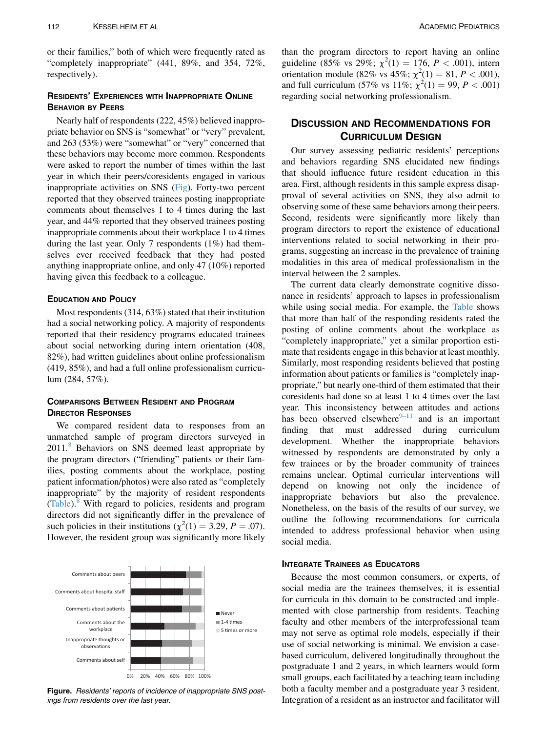or their families," both of which were frequently rated as "completely inappropriate" (441, 89%, and 354, 72%, respectively).

# RESIDENTS' EXPERIENCES WITH INAPPROPRIATE ONLINE<br>Behavior by Peers

Nearly half of respondents (222, 45%) believed inappropriate behavior on SNS is "somewhat" or "very" prevalent, and 263 (53%) were "somewhat" or "very" concerned that these behaviors may become more common. Respondents were asked to report the number of times within the last year in which their peers/coresidents engaged in various inappropriate activities on SNS (Fig). Forty-two percent reported that they observed trainees posting inappropriate comments about themselves 1 to 4 times during the last year, and 44% reported that they observed trainees posting inappropriate comments about their workplace 1 to 4 times during the last year. Only 7 respondents (1%) had themselves ever received feedback that they had posted anything inappropriate online, and only 47 (10%) reported having given this feedback to a colleague.

Most respondents  $(314, 63%)$  stated that their institution had a social networking policy. A majority of respondents reported that their residency programs educated trainees about social networking during intern orientation (408, 82%), had written guidelines about online professionalism (419, 85%), and had a full online professionalism curriculum (284, 57%).

## **COMPARISONS BETWEEN RESIDENT AND PROGRAM DIRECTOR RESPONSES**

We compared resident data to responses from an unmatched sample of program directors surveyed in 2011.<sup>[8](#page-4-0)</sup> Behaviors on SNS deemed least appropriate by the program directors ("friending" patients or their families, posting comments about the workplace, posting patient information/photos) were also rated as "completely inappropriate" by the majority of resident respondents ([Table\)](#page-1-0).<sup>[8](#page-4-0)</sup> With regard to policies, residents and program directors did not significantly differ in the prevalence of such policies in their institutions ( $\chi^2(1) = 3.29$ ,  $P = .07$ ). However, the resident group was significantly more likely



Figure. Residents' reports of incidence of inappropriate SNS postings from residents over the last year.

than the program directors to report having an online guideline (85% vs 29%;  $\chi^2(1) = 176$ ,  $P < .001$ ), intern orientation module (82% vs 45%;  $\chi^2(1) = 81, P < .001$ ), and full curriculum (57% vs 11%;  $\chi^2(1) = 99$ ,  $P < .001$ ) regarding social networking professionalism.

# **DISCUSSION AND RECOMMENDATIONS FOR CURRICULUM DESIGN**

Our survey assessing pediatric residents' perceptions and behaviors regarding SNS elucidated new findings that should influence future resident education in this area. First, although residents in this sample express disapproval of several activities on SNS, they also admit to observing some of these same behaviors among their peers. Second, residents were significantly more likely than program directors to report the existence of educational interventions related to social networking in their programs, suggesting an increase in the prevalence of training modalities in this area of medical professionalism in the interval between the 2 samples.

The current data clearly demonstrate cognitive dissonance in residents' approach to lapses in professionalism while using social media. For example, the [Table](#page-1-0) shows that more than half of the responding residents rated the posting of online comments about the workplace as "completely inappropriate," yet a similar proportion estimate that residents engage in this behavior at least monthly. Similarly, most responding residents believed that posting information about patients or families is "completely inappropriate," but nearly one-third of them estimated that their coresidents had done so at least 1 to 4 times over the last year. This inconsistency between attitudes and actions has been observed elsewhere $9-11$  and is an important finding that must addressed during curriculum development. Whether the inappropriate behaviors witnessed by respondents are demonstrated by only a few trainees or by the broader community of trainees remains unclear. Optimal curricular interventions will depend on knowing not only the incidence of inappropriate behaviors but also the prevalence. Nonetheless, on the basis of the results of our survey, we outline the following recommendations for curricula intended to address professional behavior when using social media.

Because the most common consumers, or experts, of social media are the trainees themselves, it is essential for curricula in this domain to be constructed and implemented with close partnership from residents. Teaching faculty and other members of the interprofessional team may not serve as optimal role models, especially if their use of social networking is minimal. We envision a casebased curriculum, delivered longitudinally throughout the postgraduate 1 and 2 years, in which learners would form small groups, each facilitated by a teaching team including both a faculty member and a postgraduate year 3 resident. Integration of a resident as an instructor and facilitator will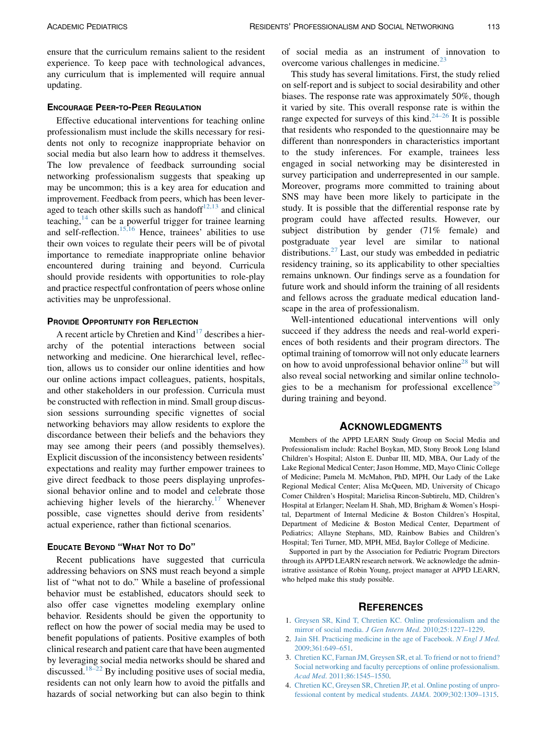<span id="page-3-0"></span>ensure that the curriculum remains salient to the resident experience. To keep pace with technological advances, any curriculum that is implemented will require annual updating.

Effective educational interventions for teaching online professionalism must include the skills necessary for residents not only to recognize inappropriate behavior on social media but also learn how to address it themselves. The low prevalence of feedback surrounding social networking professionalism suggests that speaking up may be uncommon; this is a key area for education and improvement. Feedback from peers, which has been leveraged to teach other skills such as handoff $12,13$  and clinical teaching, $14$  can be a powerful trigger for trainee learning and self-reflection.[15,16](#page-4-0) Hence, trainees' abilities to use their own voices to regulate their peers will be of pivotal importance to remediate inappropriate online behavior encountered during training and beyond. Curricula should provide residents with opportunities to role-play and practice respectful confrontation of peers whose online activities may be unprofessional.

## **PROVIDE OPPORTUNITY FOR REFLECTION**

A recent article by Chretien and  $Kind<sup>17</sup>$  $Kind<sup>17</sup>$  $Kind<sup>17</sup>$  describes a hierarchy of the potential interactions between social networking and medicine. One hierarchical level, reflection, allows us to consider our online identities and how our online actions impact colleagues, patients, hospitals, and other stakeholders in our profession. Curricula must be constructed with reflection in mind. Small group discussion sessions surrounding specific vignettes of social networking behaviors may allow residents to explore the discordance between their beliefs and the behaviors they may see among their peers (and possibly themselves). Explicit discussion of the inconsistency between residents' expectations and reality may further empower trainees to give direct feedback to those peers displaying unprofessional behavior online and to model and celebrate those achieving higher levels of the hierarchy.<sup>[17](#page-4-0)</sup> Whenever possible, case vignettes should derive from residents' actual experience, rather than fictional scenarios.

## **EDUCATE BEYOND "WHAT NOT TO DO"**

EDUCATE BEYOND THE WHAT NOT TO DO DO addressing behaviors on SNS must reach beyond a simple list of "what not to do." While a baseline of professional behavior must be established, educators should seek to also offer case vignettes modeling exemplary online behavior. Residents should be given the opportunity to reflect on how the power of social media may be used to benefit populations of patients. Positive examples of both clinical research and patient care that have been augmented by leveraging social media networks should be shared and discussed.<sup>[18–22](#page-4-0)</sup> By including positive uses of social media, residents can not only learn how to avoid the pitfalls and hazards of social networking but can also begin to think

of social media as an instrument of innovation to overcome various challenges in medicine.<sup>[23](#page-4-0)</sup>

This study has several limitations. First, the study relied on self-report and is subject to social desirability and other biases. The response rate was approximately 50%, though it varied by site. This overall response rate is within the range expected for surveys of this kind.<sup>[24–26](#page-4-0)</sup> It is possible that residents who responded to the questionnaire may be different than nonresponders in characteristics important to the study inferences. For example, trainees less engaged in social networking may be disinterested in survey participation and underrepresented in our sample. Moreover, programs more committed to training about SNS may have been more likely to participate in the study. It is possible that the differential response rate by program could have affected results. However, our subject distribution by gender (71% female) and postgraduate year level are similar to national distributions.[27](#page-4-0) Last, our study was embedded in pediatric residency training, so its applicability to other specialties remains unknown. Our findings serve as a foundation for future work and should inform the training of all residents and fellows across the graduate medical education landscape in the area of professionalism.

Well-intentioned educational interventions will only succeed if they address the needs and real-world experiences of both residents and their program directors. The optimal training of tomorrow will not only educate learners on how to avoid unprofessional behavior online<sup>[28](#page-4-0)</sup> but will also reveal social networking and similar online technolo-gies to be a mechanism for professional excellence<sup>[29](#page-4-0)</sup> during training and beyond.

Members of the APPD LEARN Study Group on Social Media and Professionalism include: Rachel Boykan, MD, Stony Brook Long Island Children's Hospital; Alston E. Dunbar III, MD, MBA, Our Lady of the Lake Regional Medical Center; Jason Homme, MD, Mayo Clinic College of Medicine; Pamela M. McMahon, PhD, MPH, Our Lady of the Lake Regional Medical Center; Alisa McQueen, MD, University of Chicago Comer Children's Hospital; Marielisa Rincon-Subtirelu, MD, Children's Hospital at Erlanger; Neelam H. Shah, MD, Brigham & Women's Hospital, Department of Internal Medicine & Boston Children's Hospital, Department of Medicine & Boston Medical Center, Department of Pediatrics; Allayne Stephans, MD, Rainbow Babies and Children's Hospital; Teri Turner, MD, MPH, MEd, Baylor College of Medicine.

Supported in part by the Association for Pediatric Program Directors through its APPD LEARN research network. We acknowledge the administrative assistance of Robin Young, project manager at APPD LEARN, who helped make this study possible.

- 1. [Greysen SR, Kind T, Chretien KC. Online professionalism and the](http://refhub.elsevier.com/S1876-2859(15)00377-0/sref1) [mirror of social media.](http://refhub.elsevier.com/S1876-2859(15)00377-0/sref1) J Gen Intern Med. 2010;25:1227–1229.
- 2. [Jain SH. Practicing medicine in the age of Facebook.](http://refhub.elsevier.com/S1876-2859(15)00377-0/sref2) N Engl J Med. [2009;361:649–651](http://refhub.elsevier.com/S1876-2859(15)00377-0/sref2).
- 3. [Chretien KC, Farnan JM, Greysen SR, et al. To friend or not to friend?](http://refhub.elsevier.com/S1876-2859(15)00377-0/sref3) [Social networking and faculty perceptions of online professionalism.](http://refhub.elsevier.com/S1876-2859(15)00377-0/sref3) Acad Med[. 2011;86:1545–1550](http://refhub.elsevier.com/S1876-2859(15)00377-0/sref3).
- 4. [Chretien KC, Greysen SR, Chretien JP, et al. Online posting of unpro](http://refhub.elsevier.com/S1876-2859(15)00377-0/sref4)[fessional content by medical students.](http://refhub.elsevier.com/S1876-2859(15)00377-0/sref4) JAMA. 2009;302:1309–1315.